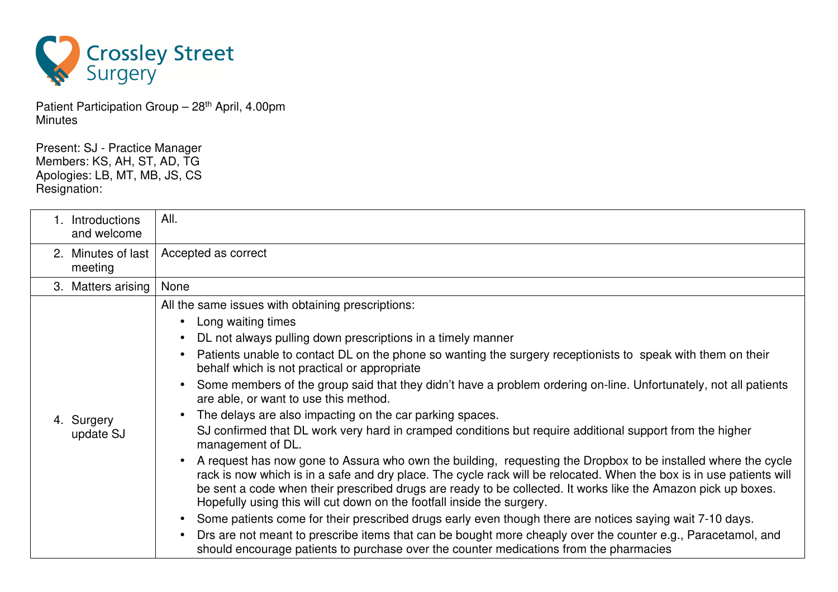

Patient Participation Group – 28<sup>th</sup> April, 4.00pm Minutes

Present: SJ - Practice Manager Members: KS, AH, ST, AD, TG Apologies: LB, MT, MB, JS, CS Resignation:

| 1. Introductions<br>and welcome | All.                                                                                                                                                                                                                                                                                                                                                                                                                                                                                                                                                                                                                                                                                                                                                                                                                                                                                                                                                                                                                                                                                                                                                                                                                                                                                                                                                                                                                                                |
|---------------------------------|-----------------------------------------------------------------------------------------------------------------------------------------------------------------------------------------------------------------------------------------------------------------------------------------------------------------------------------------------------------------------------------------------------------------------------------------------------------------------------------------------------------------------------------------------------------------------------------------------------------------------------------------------------------------------------------------------------------------------------------------------------------------------------------------------------------------------------------------------------------------------------------------------------------------------------------------------------------------------------------------------------------------------------------------------------------------------------------------------------------------------------------------------------------------------------------------------------------------------------------------------------------------------------------------------------------------------------------------------------------------------------------------------------------------------------------------------------|
| 2. Minutes of last<br>meeting   | Accepted as correct                                                                                                                                                                                                                                                                                                                                                                                                                                                                                                                                                                                                                                                                                                                                                                                                                                                                                                                                                                                                                                                                                                                                                                                                                                                                                                                                                                                                                                 |
| 3. Matters arising              | None                                                                                                                                                                                                                                                                                                                                                                                                                                                                                                                                                                                                                                                                                                                                                                                                                                                                                                                                                                                                                                                                                                                                                                                                                                                                                                                                                                                                                                                |
| 4. Surgery<br>update SJ         | All the same issues with obtaining prescriptions:<br>Long waiting times<br>DL not always pulling down prescriptions in a timely manner<br>Patients unable to contact DL on the phone so wanting the surgery receptionists to speak with them on their<br>behalf which is not practical or appropriate<br>Some members of the group said that they didn't have a problem ordering on-line. Unfortunately, not all patients<br>are able, or want to use this method.<br>The delays are also impacting on the car parking spaces.<br>$\bullet$<br>SJ confirmed that DL work very hard in cramped conditions but require additional support from the higher<br>management of DL.<br>A request has now gone to Assura who own the building, requesting the Dropbox to be installed where the cycle<br>rack is now which is in a safe and dry place. The cycle rack will be relocated. When the box is in use patients will<br>be sent a code when their prescribed drugs are ready to be collected. It works like the Amazon pick up boxes.<br>Hopefully using this will cut down on the footfall inside the surgery.<br>Some patients come for their prescribed drugs early even though there are notices saying wait 7-10 days.<br>$\bullet$<br>Drs are not meant to prescribe items that can be bought more cheaply over the counter e.g., Paracetamol, and<br>should encourage patients to purchase over the counter medications from the pharmacies |